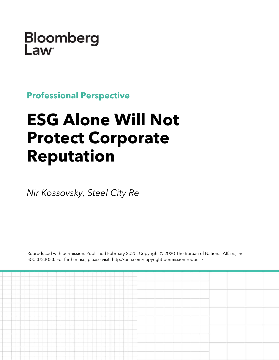Bloomberg **Law** 

**Professional Perspective**

# **ESG Alone Will Not Protect Corporate Reputation**

*Nir Kossovsky, Steel City Re*

Reproduced with permission. Published February 2020. Copyright © 2020 The Bureau of National Affairs, Inc. 800.372.1033. For further use, please visit: http://bna.com/copyright-permission-request/

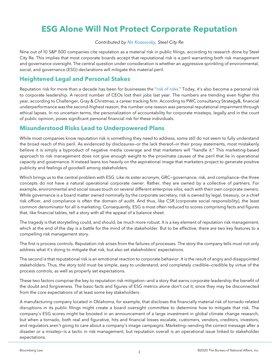# **ESG Alone Will Not Protect Corporate Reputation**

#### *Contributed by [Nir Kossovsky,](https://steelcityre.com/team-culture/) Steel City Re*

Nine out of 10 S&P 500 companies cite reputation as a material risk in public filings, according to research done by Steel City Re. This implies that most corporate boards accept that reputational risk is a peril warranting both risk management and governance oversight. The central question under consideration is whether an aggressive sprinkling of environmental, social, and governance (ESG) declarations will mitigate this material peril.

#### **Heightened Legal and Personal Stakes**

Reputation risk for more than a decade has been for businesses the ["risk of risks."](https://www.bloomberglaw.com/product/blaw/document/J6X5KT3V2804) Today, it's also become a personal risk to corporate leadership. A record number of CEOs lost their jobs last year. The numbers are trending even higher this year, according to Challenger, Gray & Christmas, a career tracking firm. According to PWC consultancy Strategy&, financial underperformance was the second-highest reason; the number-one reason was personal reputational impairment through ethical lapses. In no uncertain terms, the personalization of accountability for corporate missteps, legally and in the court of public opinion, poses significant personal financial risk for these individuals.

#### **Misunderstood Risks Lead to Underpowered Plans**

While most companies know reputation risk is something they need to address, some still do not seem to fully understand the broad reach of this peril. As evidenced by disclosures—or the lack thereof—in their proxy statements, most mistakenly believe it is simply a byproduct of negative media coverage and that marketers will "handle it." This marketing-based approach to risk management does not give enough weight to the proximate causes of the peril that lie in operational capacity and governance. It instead leans too heavily on the aspirational image that marketers project to generate positive publicity and feelings of goodwill among stakeholders.

Which brings us to the central problem with ESG. Like its sister acronym, GRC—governance, risk, and compliance—the three concepts do not have a natural operational corporate owner. Rather, they are owned by a collective of partners. For example, environmental and social issues touch on several different enterprise silos, each with their own corporate owners. While governance is a board matter owned nominally by the corporate secretary, risk is owned by legal, treasury, or a chief risk officer, and compliance is often the domain of audit. And thus, like CSR (corporate social responsibility), the least common denominator for all is marketing. Consequently, ESG is most often reduced to scores comprising facts and figures that, like financial tables, tell a story with all the appeal of a balance sheet.

The tragedy is that storytelling could, and should, be much more robust. It is a key element of reputation risk management, which at the end of the day is a battle for the mind of the stakeholder. But to be effective, there are two key features to a compelling risk management story.

The first is process controls. Reputation risk arises from the failures of processes. The story the company tells must not only address what it's doing to mitigate that risk, but also set stakeholders' expectations.

The second is that reputational risk is an emotional reaction to corporate behavior. It is the result of angry and disappointed stakeholders. Thus, the story told must be simple, easy to understand, and completely credible—credible by virtue of the process controls, as well as properly set expectations.

These two factors comprise the key to reputation risk mitigation—and a story that earns corporate leadership the benefit of the doubt and forgiveness. The basic facts and figures of ESG metrics alone don't cut it, since they may be disconnected from the core expectations of at least some key stakeholders.

A manufacturing company located in Oklahoma, for example, that discloses the financially material risk of tornado-related disruptions in its public filings might create a board oversight committee to determine how to mitigate that risk. The company's ESG scores might be boosted in an announcement of a large investment in global climate change research, but when a tornado, both real and figurative, hits and financial losses escalate, customers, vendors, creditors, investors, and regulators aren't going to care about a company's image campaigns. Marketing—sending the correct message after a disaster or a misstep—is a tactic in risk management, but reputation overall is an operational issue linked to stakeholder expectations.